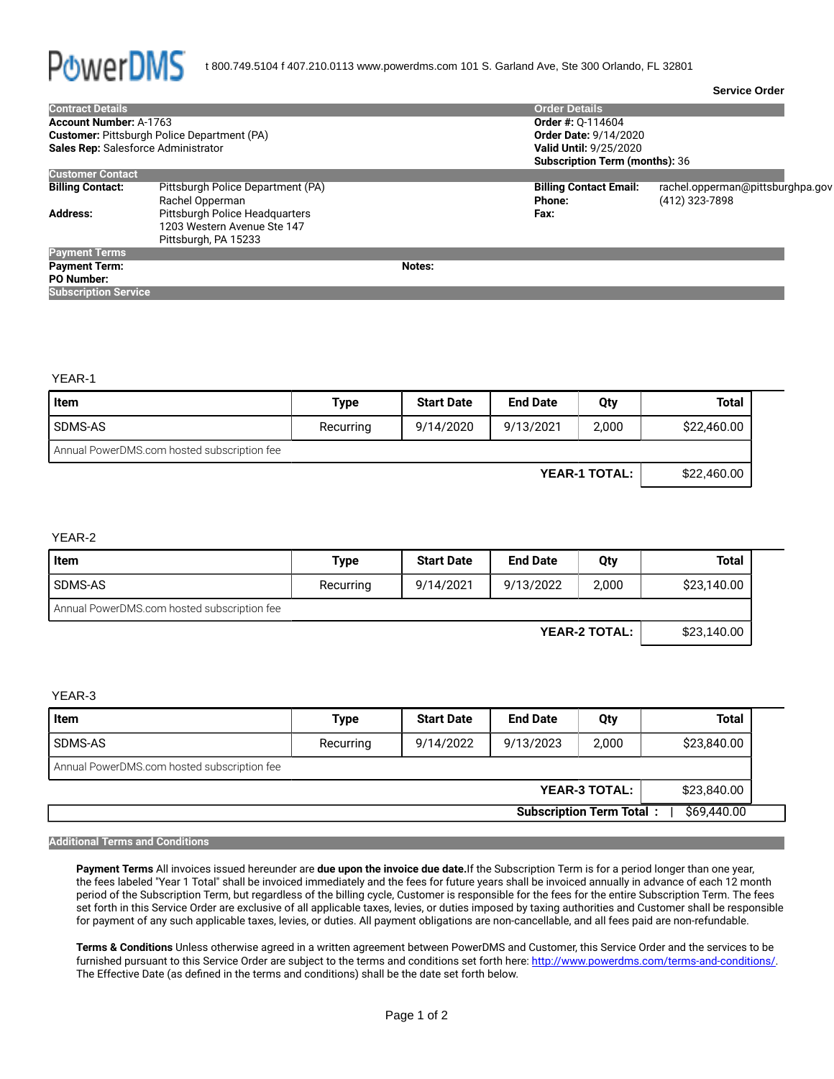

| <b>Contract Details</b>             |                                                                                       |        | <b>Order Details</b>                                                   |                                                    |  |  |  |
|-------------------------------------|---------------------------------------------------------------------------------------|--------|------------------------------------------------------------------------|----------------------------------------------------|--|--|--|
| <b>Account Number: A-1763</b>       |                                                                                       |        | <b>Order #: 0-114604</b>                                               |                                                    |  |  |  |
|                                     | <b>Customer:</b> Pittsburgh Police Department (PA)                                    |        | <b>Order Date: 9/14/2020</b>                                           |                                                    |  |  |  |
| Sales Rep: Salesforce Administrator |                                                                                       |        | <b>Valid Until: 9/25/2020</b><br><b>Subscription Term (months): 36</b> |                                                    |  |  |  |
| <b>Customer Contact</b>             |                                                                                       |        |                                                                        |                                                    |  |  |  |
| <b>Billing Contact:</b>             | Pittsburgh Police Department (PA)<br>Rachel Opperman                                  |        | <b>Billing Contact Email:</b><br>Phone:                                | rachel.opperman@pittsburghpa.gov<br>(412) 323-7898 |  |  |  |
| <b>Address:</b>                     | Pittsburgh Police Headquarters<br>1203 Western Avenue Ste 147<br>Pittsburgh, PA 15233 |        | Fax:                                                                   |                                                    |  |  |  |
| <b>Payment Terms</b>                |                                                                                       |        |                                                                        |                                                    |  |  |  |
| <b>Payment Term:</b>                |                                                                                       | Notes: |                                                                        |                                                    |  |  |  |
| <b>PO Number:</b>                   |                                                                                       |        |                                                                        |                                                    |  |  |  |
| <b>Subscription Service</b>         |                                                                                       |        |                                                                        |                                                    |  |  |  |

YEAR-1

| Item                                        | <b>Type</b>                  | <b>Start Date</b> | <b>End Date</b> | Qty   | <b>Total</b> |  |
|---------------------------------------------|------------------------------|-------------------|-----------------|-------|--------------|--|
| SDMS-AS                                     | Recurring                    | 9/14/2020         | 9/13/2021       | 2,000 | \$22,460.00  |  |
| Annual PowerDMS.com hosted subscription fee |                              |                   |                 |       |              |  |
|                                             | \$22,460.00<br>YEAR-1 TOTAL: |                   |                 |       |              |  |

## YEAR-2

| <b>Item</b>                                 | <b>Type</b> | <b>Start Date</b> | <b>End Date</b> | Qty   | <b>Total</b> |  |
|---------------------------------------------|-------------|-------------------|-----------------|-------|--------------|--|
| SDMS-AS                                     | Recurring   | 9/14/2021         | 9/13/2022       | 2,000 | \$23,140.00  |  |
| Annual PowerDMS.com hosted subscription fee |             |                   |                 |       |              |  |
| <b>YEAR-2 TOTAL:</b>                        |             |                   |                 |       | \$23,140.00  |  |

## YEAR-3

| Item                                           | <b>Type</b> | <b>Start Date</b> | <b>End Date</b> | Qty   | <b>Total</b> |  |
|------------------------------------------------|-------------|-------------------|-----------------|-------|--------------|--|
| SDMS-AS                                        | Recurring   | 9/14/2022         | 9/13/2023       | 2,000 | \$23,840.00  |  |
| Annual PowerDMS.com hosted subscription fee    |             |                   |                 |       |              |  |
| <b>YEAR-3 TOTAL:</b>                           |             |                   |                 |       | \$23,840.00  |  |
| \$69,440.00<br><b>Subscription Term Total:</b> |             |                   |                 |       |              |  |

## **Additional Terms and Conditions**

**Payment Terms** All invoices issued hereunder are **due upon the invoice due date.**If the Subscription Term is for a period longer than one year, the fees labeled "Year 1 Total" shall be invoiced immediately and the fees for future years shall be invoiced annually in advance of each 12 month period of the Subscription Term, but regardless of the billing cycle, Customer is responsible for the fees for the entire Subscription Term. The fees set forth in this Service Order are exclusive of all applicable taxes, levies, or duties imposed by taxing authorities and Customer shall be responsible for payment of any such applicable taxes, levies, or duties. All payment obligations are non-cancellable, and all fees paid are non-refundable.

**Terms & Conditions** Unless otherwise agreed in a written agreement between PowerDMS and Customer, this Service Order and the services to be furnished pursuant to this Service Order are subject to the terms and conditions set forth here: [http://www.powerdms.com/terms-and-conditions/.](http://www.powerdms.com/terms-and-conditions/) The Effective Date (as defined in the terms and conditions) shall be the date set forth below.